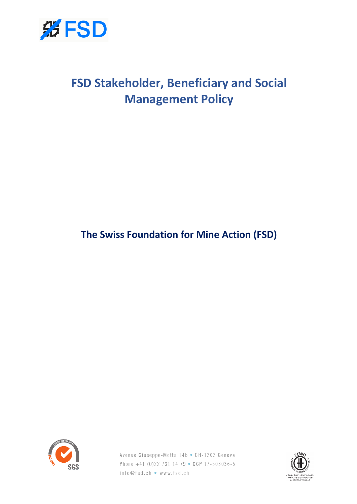

# **FSD Stakeholder, Beneficiary and Social Management Policy**

**The Swiss Foundation for Mine Action (FSD)**



Avenue Giuseppe-Motta 14b • CH-1202 Geneva Phone +41 (0)22 731 14 79 • CCP 17-503036-5 info@fsd.ch • www.fsd.ch

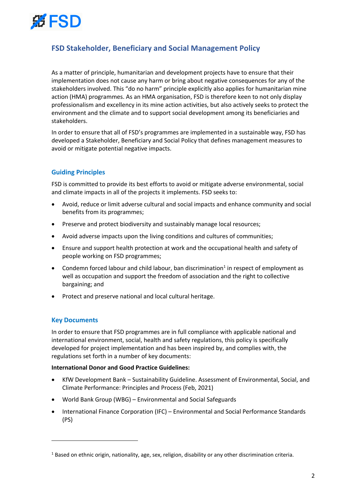

# **FSD Stakeholder, Beneficiary and Social Management Policy**

As a matter of principle, humanitarian and development projects have to ensure that their implementation does not cause any harm or bring about negative consequences for any of the stakeholders involved. This "do no harm" principle explicitly also applies for humanitarian mine action (HMA) programmes. As an HMA organisation, FSD is therefore keen to not only display professionalism and excellency in its mine action activities, but also actively seeks to protect the environment and the climate and to support social development among its beneficiaries and stakeholders.

In order to ensure that all of FSD's programmes are implemented in a sustainable way, FSD has developed a Stakeholder, Beneficiary and Social Policy that defines management measures to avoid or mitigate potential negative impacts.

# **Guiding Principles**

FSD is committed to provide its best efforts to avoid or mitigate adverse environmental, social and climate impacts in all of the projects it implements. FSD seeks to:

- Avoid, reduce or limit adverse cultural and social impacts and enhance community and social benefits from its programmes;
- Preserve and protect biodiversity and sustainably manage local resources;
- Avoid adverse impacts upon the living conditions and cultures of communities;
- Ensure and support health protection at work and the occupational health and safety of people working on FSD programmes;
- Condemn forced labour and child labour, ban discrimination<sup>1</sup> in respect of employment as well as occupation and support the freedom of association and the right to collective bargaining; and
- Protect and preserve national and local cultural heritage.

### **Key Documents**

In order to ensure that FSD programmes are in full compliance with applicable national and international environment, social, health and safety regulations, this policy is specifically developed for project implementation and has been inspired by, and complies with, the regulations set forth in a number of key documents:

#### **International Donor and Good Practice Guidelines:**

- KfW Development Bank Sustainability Guideline. Assessment of Environmental, Social, and Climate Performance: Principles and Process (Feb, 2021)
- World Bank Group (WBG) Environmental and Social Safeguards
- International Finance Corporation (IFC) Environmental and Social Performance Standards (PS)

<sup>&</sup>lt;sup>1</sup> Based on ethnic origin, nationality, age, sex, religion, disability or any other discrimination criteria.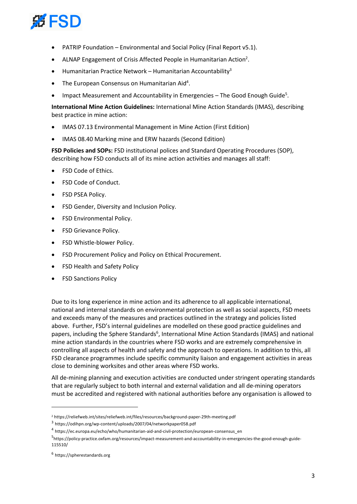

- PATRIP Foundation Environmental and Social Policy (Final Report v5.1).
- ALNAP Engagement of Crisis Affected People in Humanitarian Action<sup>2</sup>.
- Humanitarian Practice Network Humanitarian Accountability<sup>3</sup>
- $\bullet$  The European Consensus on Humanitarian Aid<sup>4</sup>.
- Impact Measurement and Accountability in Emergencies The Good Enough Guide<sup>5</sup>.

**International Mine Action Guidelines:** International Mine Action Standards (IMAS), describing best practice in mine action:

- IMAS 07.13 Environmental Management in Mine Action (First Edition)
- IMAS 08.40 Marking mine and ERW hazards (Second Edition)

**FSD Policies and SOPs:** FSD institutional polices and Standard Operating Procedures (SOP), describing how FSD conducts all of its mine action activities and manages all staff:

- FSD Code of Ethics.
- FSD Code of Conduct.
- FSD PSEA Policy.
- FSD Gender, Diversity and Inclusion Policy.
- FSD Environmental Policy.
- FSD Grievance Policy.
- FSD Whistle-blower Policy.
- FSD Procurement Policy and Policy on Ethical Procurement.
- FSD Health and Safety Policy
- FSD Sanctions Policy

Due to its long experience in mine action and its adherence to all applicable international, national and internal standards on environmental protection as well as social aspects, FSD meets and exceeds many of the measures and practices outlined in the strategy and policies listed above. Further, FSD's internal guidelines are modelled on these good practice guidelines and papers, including the Sphere Standards<sup>6</sup>, International Mine Action Standards (IMAS) and national mine action standards in the countries where FSD works and are extremely comprehensive in controlling all aspects of health and safety and the approach to operations. In addition to this, all FSD clearance programmes include specific community liaison and engagement activities in areas close to demining worksites and other areas where FSD works.

All de-mining planning and execution activities are conducted under stringent operating standards that are regularly subject to both internal and external validation and all de-mining operators must be accredited and registered with national authorities before any organisation is allowed to

<sup>2</sup> https://reliefweb.int/sites/reliefweb.int/files/resources/background-paper-29th-meeting.pdf

<sup>3</sup> https://odihpn.org/wp-content/uploads/2007/04/networkpaper058.pdf

<sup>4</sup> https://ec.europa.eu/echo/who/humanitarian-aid-and-civil-protection/european-consensus\_en

<sup>&</sup>lt;sup>5</sup>https://policy-practice.oxfam.org/resources/impact-measurement-and-accountability-in-emergencies-the-good-enough-guide-115510/

<sup>6</sup> https://spherestandards.org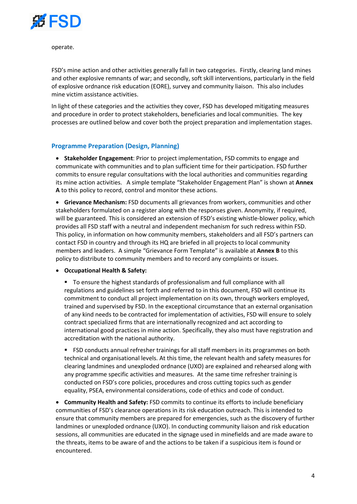

operate.

FSD's mine action and other activities generally fall in two categories. Firstly, clearing land mines and other explosive remnants of war; and secondly, soft skill interventions, particularly in the field of explosive ordnance risk education (EORE), survey and community liaison. This also includes mine victim assistance activities.

In light of these categories and the activities they cover, FSD has developed mitigating measures and procedure in order to protect stakeholders, beneficiaries and local communities. The key processes are outlined below and cover both the project preparation and implementation stages.

### **Programme Preparation (Design, Planning)**

• **Stakeholder Engagement**: Prior to project implementation, FSD commits to engage and communicate with communities and to plan sufficient time for their participation. FSD further commits to ensure regular consultations with the local authorities and communities regarding its mine action activities. A simple template "Stakeholder Engagement Plan" is shown at **Annex A** to this policy to record, control and monitor these actions.

• **Grievance Mechanism:** FSD documents all grievances from workers, communities and other stakeholders formulated on a register along with the responses given. Anonymity, if required, will be guaranteed. This is considered an extension of FSD's existing whistle-blower policy, which provides all FSD staff with a neutral and independent mechanism for such redress within FSD. This policy, in information on how community members, stakeholders and all FSD's partners can contact FSD in country and through its HQ are briefed in all projects to local community members and leaders. A simple "Grievance Form Template" is available at **Annex B** to this policy to distribute to community members and to record any complaints or issues.

• **Occupational Health & Safety:**

§ To ensure the highest standards of professionalism and full compliance with all regulations and guidelines set forth and referred to in this document, FSD will continue its commitment to conduct all project implementation on its own, through workers employed, trained and supervised by FSD. In the exceptional circumstance that an external organisation of any kind needs to be contracted for implementation of activities, FSD will ensure to solely contract specialized firms that are internationally recognized and act according to international good practices in mine action. Specifically, they also must have registration and accreditation with the national authority.

§ FSD conducts annual refresher trainings for all staff members in its programmes on both technical and organisational levels. At this time, the relevant health and safety measures for clearing landmines and unexploded ordnance (UXO) are explained and rehearsed along with any programme specific activities and measures. At the same time refresher training is conducted on FSD's core policies, procedures and cross cutting topics such as gender equality, PSEA, environmental considerations, code of ethics and code of conduct.

• **Community Health and Safety:** FSD commits to continue its efforts to include beneficiary communities of FSD's clearance operations in its risk education outreach. This is intended to ensure that community members are prepared for emergencies, such as the discovery of further landmines or unexploded ordnance (UXO). In conducting community liaison and risk education sessions, all communities are educated in the signage used in minefields and are made aware to the threats, items to be aware of and the actions to be taken if a suspicious item is found or encountered.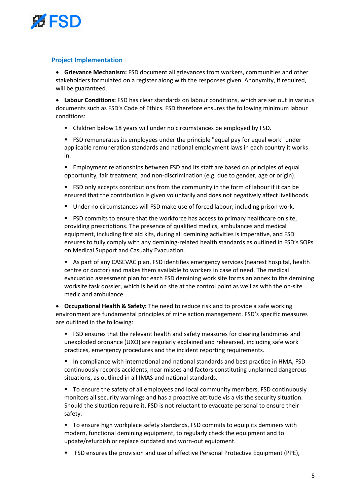

### **Project Implementation**

• **Grievance Mechanism:** FSD document all grievances from workers, communities and other stakeholders formulated on a register along with the responses given. Anonymity, if required, will be guaranteed.

• **Labour Conditions:** FSD has clear standards on labour conditions, which are set out in various documents such as FSD's Code of Ethics. FSD therefore ensures the following minimum labour conditions:

■ Children below 18 years will under no circumstances be employed by FSD.

**• FSD remunerates its employees under the principle "equal pay for equal work" under** applicable remuneration standards and national employment laws in each country it works in.

■ Employment relationships between FSD and its staff are based on principles of equal opportunity, fair treatment, and non-discrimination (e.g. due to gender, age or origin).

■ FSD only accepts contributions from the community in the form of labour if it can be ensured that the contribution is given voluntarily and does not negatively affect livelihoods.

■ Under no circumstances will FSD make use of forced labour, including prison work.

**• FSD commits to ensure that the workforce has access to primary healthcare on site,** providing prescriptions. The presence of qualified medics, ambulances and medical equipment, including first aid kits, during all demining activities is imperative, and FSD ensures to fully comply with any demining-related health standards as outlined in FSD's SOPs on Medical Support and Casualty Evacuation.

As part of any CASEVAC plan, FSD identifies emergency services (nearest hospital, health centre or doctor) and makes them available to workers in case of need. The medical evacuation assessment plan for each FSD demining work site forms an annex to the demining worksite task dossier, which is held on site at the control point as well as with the on-site medic and ambulance.

• **Occupational Health & Safety:** The need to reduce risk and to provide a safe working environment are fundamental principles of mine action management. FSD's specific measures are outlined in the following:

■ FSD ensures that the relevant health and safety measures for clearing landmines and unexploded ordnance (UXO) are regularly explained and rehearsed, including safe work practices, emergency procedures and the incident reporting requirements.

■ In compliance with international and national standards and best practice in HMA, FSD continuously records accidents, near misses and factors constituting unplanned dangerous situations, as outlined in all IMAS and national standards.

■ To ensure the safety of all employees and local community members, FSD continuously monitors all security warnings and has a proactive attitude vis a vis the security situation. Should the situation require it, FSD is not reluctant to evacuate personal to ensure their safety.

■ To ensure high workplace safety standards, FSD commits to equip its deminers with modern, functional demining equipment, to regularly check the equipment and to update/refurbish or replace outdated and worn-out equipment.

§ FSD ensures the provision and use of effective Personal Protective Equipment (PPE),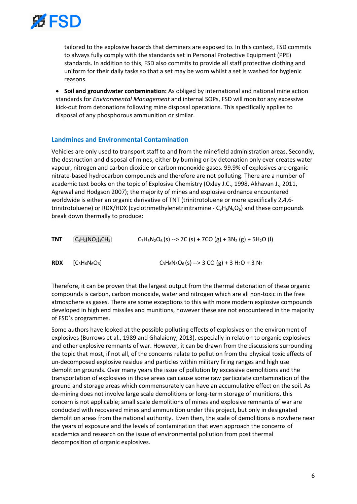

tailored to the explosive hazards that deminers are exposed to. In this context, FSD commits to always fully comply with the standards set in Personal Protective Equipment (PPE) standards. In addition to this, FSD also commits to provide all staff protective clothing and uniform for their daily tasks so that a set may be worn whilst a set is washed for hygienic reasons.

• **Soil and groundwater contamination:** As obliged by international and national mine action standards for *Environmental Management* and internal SOPs, FSD will monitor any excessive kick-out from detonations following mine disposal operations. This specifically applies to disposal of any phosphorous ammunition or similar.

### **Landmines and Environmental Contamination**

Vehicles are only used to transport staff to and from the minefield administration areas. Secondly, the destruction and disposal of mines, either by burning or by detonation only ever creates water vapour, nitrogen and carbon dioxide or carbon monoxide gases. 99.9% of explosives are organic nitrate-based hydrocarbon compounds and therefore are not polluting. There are a number of academic text books on the topic of Explosive Chemistry (Oxley J.C., 1998, Akhavan J., 2011, Agrawal and Hodgson 2007); the majority of mines and explosive ordnance encountered worldwide is either an organic derivative of TNT (trinitrotoluene or more specifically 2,4,6 trinitrotoluene) or RDX/HDX (cyclotrimethylenetrinitramine -  $C_3H_6N_6O_6$ ) and these compounds break down thermally to produce:

| <b>TNT</b> | $[C_6H_2(NO_2)_3CH_3]$ | $C_7H_5N_2O_6(s) \rightarrow 7C(s) + 7CO(g) + 3N_2(g) + 5H_2O(l)$ |  |  |
|------------|------------------------|-------------------------------------------------------------------|--|--|
|            |                        |                                                                   |  |  |

**RDX**  $[C_3H_6N_6O_6]$   $C_3H_6N_6O_6(s) \rightarrow 3 CO (g) + 3 H_2O + 3 N_2$ 

Therefore, it can be proven that the largest output from the thermal detonation of these organic compounds is carbon, carbon monoxide, water and nitrogen which are all non-toxic in the free atmosphere as gases. There are some exceptions to this with more modern explosive compounds developed in high end missiles and munitions, however these are not encountered in the majority of FSD's programmes.

Some authors have looked at the possible polluting effects of explosives on the environment of explosives (Burrows et al., 1989 and Ghalaieny, 2013), especially in relation to organic explosives and other explosive remnants of war. However, it can be drawn from the discussions surrounding the topic that most, if not all, of the concerns relate to pollution from the physical toxic effects of un-decomposed explosive residue and particles within military firing ranges and high use demolition grounds. Over many years the issue of pollution by excessive demolitions and the transportation of explosives in those areas can cause some raw particulate contamination of the ground and storage areas which commensurately can have an accumulative effect on the soil. As de-mining does not involve large scale demolitions or long-term storage of munitions, this concern is not applicable; small scale demolitions of mines and explosive remnants of war are conducted with recovered mines and ammunition under this project, but only in designated demolition areas from the national authority. Even then, the scale of demolitions is nowhere near the years of exposure and the levels of contamination that even approach the concerns of academics and research on the issue of environmental pollution from post thermal decomposition of organic explosives.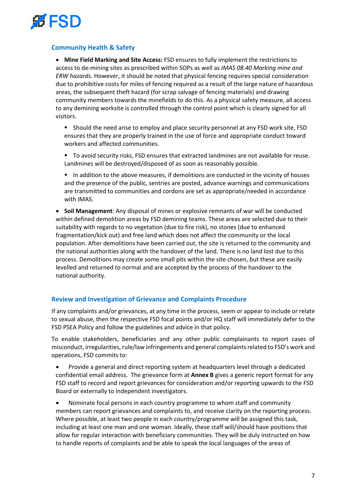

# **Community Health & Safety**

• **Mine Field Marking and Site Access:** FSD ensures to fully implement the restrictions to access to de-mining sites as prescribed within SOPs as well as *IMAS 08.40 Marking mine and ERW hazards*. However, it should be noted that physical fencing requires special consideration due to prohibitive costs for miles of fencing required as a result of the large nature of hazardous areas, the subsequent theft hazard (for scrap salvage of fencing materials) and drawing community members towards the minefields to do this. As a physical safety measure, all access to any demining worksite is controlled through the control point which is clearly signed for all visitors.

- **•** Should the need arise to employ and place security personnel at any FSD work site, FSD ensures that they are properly trained in the use of force and appropriate conduct toward workers and affected communities.
- To avoid security risks, FSD ensures that extracted landmines are not available for reuse. Landmines will be destroyed/disposed of as soon as reasonably possible.
- In addition to the above measures, if demolitions are conducted in the vicinity of houses and the presence of the public, sentries are posted, advance warnings and communications are transmitted to communities and cordons are set as appropriate/needed in accordance with IMAS.

• **Soil Management**: Any disposal of mines or explosive remnants of war will be conducted within defined demolition areas by FSD demining teams. These areas are selected due to their suitability with regards to no vegetation (due to fire risk), no stones (due to enhanced fragmentation/kick out) and free land which does not affect the community or the local population. After demolitions have been carried out, the site is returned to the community and the national authorities along with the handover of the land. There is no land lost due to this process. Demolitions may create some small pits within the site chosen, but these are easily levelled and returned to normal and are accepted by the process of the handover to the national authority.

### **Review and Investigation of Grievance and Complaints Procedure**

If any complaints and/or grievances, at any time in the process, seem or appear to include or relate to sexual abuse, then the respective FSD focal points and/or HQ staff will immediately defer to the FSD PSEA Policy and follow the guidelines and advice in that policy.

To enable stakeholders, beneficiaries and any other public complainants to report cases of misconduct, irregularities, rule/law infringements and general complaintsrelated to FSD's work and operations, FSD commits to:

- Provide a general and direct reporting system at headquarters level through a dedicated confidential email address. The grievance form at **Annex B** gives a generic report format for any FSD staff to record and report grievances for consideration and/or reporting upwards to the FSD Board or externally to independent investigators.
- Nominate focal persons in each country programme to whom staff and community members can report grievances and complaints to, and receive clarity on the reporting process. Where possible, at least two people in each country/programme will be assigned this task, including at least one man and one woman. Ideally, these staff will/should have positions that allow for regular interaction with beneficiary communities. They will be duly instructed on how to handle reports of complaints and be able to speak the local languages of the areas of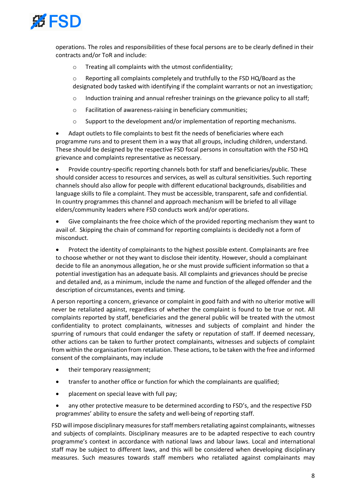

operations. The roles and responsibilities of these focal persons are to be clearly defined in their contracts and/or ToR and include:

o Treating all complaints with the utmost confidentiality;

o Reporting all complaints completely and truthfully to the FSD HQ/Board as the designated body tasked with identifying if the complaint warrants or not an investigation;

- $\circ$  Induction training and annual refresher trainings on the grievance policy to all staff;
- o Facilitation of awareness-raising in beneficiary communities;
- $\circ$  Support to the development and/or implementation of reporting mechanisms.

Adapt outlets to file complaints to best fit the needs of beneficiaries where each programme runs and to present them in a way that all groups, including children, understand. These should be designed by the respective FSD focal persons in consultation with the FSD HQ grievance and complaints representative as necessary.

• Provide country-specific reporting channels both for staff and beneficiaries/public. These should consider access to resources and services, as well as cultural sensitivities. Such reporting channels should also allow for people with different educational backgrounds, disabilities and language skills to file a complaint. They must be accessible, transparent, safe and confidential. In country programmes this channel and approach mechanism will be briefed to all village elders/community leaders where FSD conducts work and/or operations.

• Give complainants the free choice which of the provided reporting mechanism they want to avail of. Skipping the chain of command for reporting complaints is decidedly not a form of misconduct.

• Protect the identity of complainants to the highest possible extent. Complainants are free to choose whether or not they want to disclose their identity. However, should a complainant decide to file an anonymous allegation, he or she must provide sufficient information so that a potential investigation has an adequate basis. All complaints and grievances should be precise and detailed and, as a minimum, include the name and function of the alleged offender and the description of circumstances, events and timing.

A person reporting a concern, grievance or complaint in good faith and with no ulterior motive will never be retaliated against, regardless of whether the complaint is found to be true or not. All complaints reported by staff, beneficiaries and the general public will be treated with the utmost confidentiality to protect complainants, witnesses and subjects of complaint and hinder the spurring of rumours that could endanger the safety or reputation of staff. If deemed necessary, other actions can be taken to further protect complainants, witnesses and subjects of complaint from within the organisation from retaliation. These actions, to be taken with the free and informed consent of the complainants, may include

- their temporary reassignment;
- transfer to another office or function for which the complainants are qualified;
- placement on special leave with full pay;
- any other protective measure to be determined according to FSD's, and the respective FSD programmes' ability to ensure the safety and well-being of reporting staff.

FSD will impose disciplinary measures for staff members retaliating against complainants, witnesses and subjects of complaints. Disciplinary measures are to be adapted respective to each country programme's context in accordance with national laws and labour laws. Local and international staff may be subject to different laws, and this will be considered when developing disciplinary measures. Such measures towards staff members who retaliated against complainants may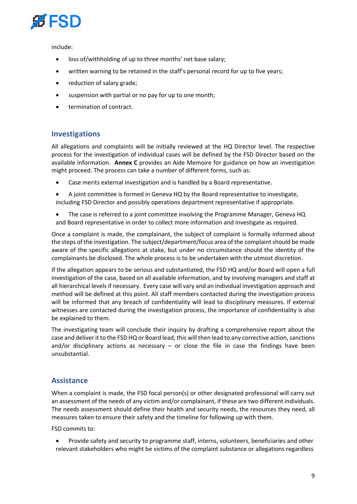

include:

- loss of/withholding of up to three months' net base salary;
- written warning to be retained in the staff's personal record for up to five years;
- reduction of salary grade;
- suspension with partial or no pay for up to one month;
- termination of contract.

# **Investigations**

All allegations and complaints will be initially reviewed at the HQ Director level. The respective process for the investigation of individual cases will be defined by the FSD Director based on the available information. **Annex C** provides an Aide Memoire for guidance on how an investigation might proceed. The process can take a number of different forms, such as:

- Case merits external investigation and is handled by a Board representative.
- A joint committee is formed in Geneva HQ by the Board representative to investigate, including FSD Director and possibly operations department representative if appropriate.
- The case is referred to a joint committee involving the Programme Manager, Geneva HQ and Board representative in order to collect more information and investigate as required.

Once a complaint is made, the complainant, the subject of complaint is formally informed about the steps of the investigation. The subject/department/focus area of the complaint should be made aware of the specific allegations at stake, but under no circumstance should the identity of the complainants be disclosed. The whole process is to be undertaken with the utmost discretion.

If the allegation appears to be serious and substantiated, the FSD HQ and/or Board will open a full investigation of the case, based on all available information, and by involving managers and staff at all hierarchical levels if necessary. Every case will vary and an individual investigation approach and method will be defined at this point. All staff members contacted during the investigation process will be informed that any breach of confidentiality will lead to disciplinary measures. If external witnesses are contacted during the investigation process, the importance of confidentiality is also be explained to them.

The investigating team will conclude their inquiry by drafting a comprehensive report about the case and deliver it to the FSD HQ or Board lead; this will then lead to any corrective action, sanctions and/or disciplinary actions as necessary  $-$  or close the file in case the findings have been unsubstantial.

# **Assistance**

When a complaint is made, the FSD focal person(s) or other designated professional will carry out an assessment of the needs of any victim and/or complainant, if these are two different individuals. The needs assessment should define their health and security needs, the resources they need, all measures taken to ensure their safety and the timeline for following up with them.

FSD commits to:

• Provide safety and security to programme staff, interns, volunteers, beneficiaries and other relevant stakeholders who might be victims of the complaint substance or allegations regardless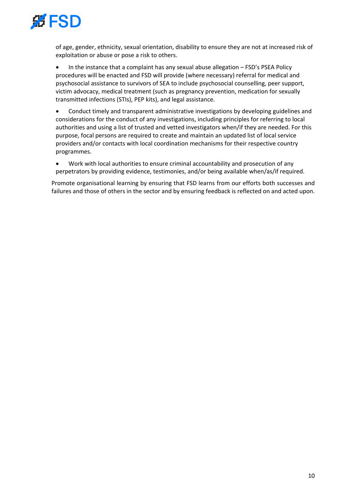

of age, gender, ethnicity, sexual orientation, disability to ensure they are not at increased risk of exploitation or abuse or pose a risk to others.

• In the instance that a complaint has any sexual abuse allegation – FSD's PSEA Policy procedures will be enacted and FSD will provide (where necessary) referral for medical and psychosocial assistance to survivors of SEA to include psychosocial counselling, peer support, victim advocacy, medical treatment (such as pregnancy prevention, medication for sexually transmitted infections (STIs), PEP kits), and legal assistance.

• Conduct timely and transparent administrative investigations by developing guidelines and considerations for the conduct of any investigations, including principles for referring to local authorities and using a list of trusted and vetted investigators when/if they are needed. For this purpose, focal persons are required to create and maintain an updated list of local service providers and/or contacts with local coordination mechanisms for their respective country programmes.

• Work with local authorities to ensure criminal accountability and prosecution of any perpetrators by providing evidence, testimonies, and/or being available when/as/if required.

Promote organisational learning by ensuring that FSD learns from our efforts both successes and failures and those of others in the sector and by ensuring feedback is reflected on and acted upon.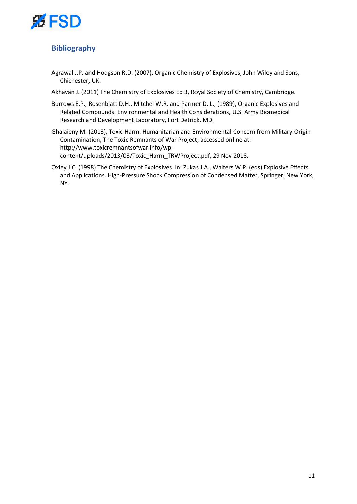

# **Bibliography**

- Agrawal J.P. and Hodgson R.D. (2007), Organic Chemistry of Explosives, John Wiley and Sons, Chichester, UK.
- Akhavan J. (2011) The Chemistry of Explosives Ed 3, Royal Society of Chemistry, Cambridge.
- Burrows E.P., Rosenblatt D.H., Mitchel W.R. and Parmer D. L., (1989), Organic Explosives and Related Compounds: Environmental and Health Considerations, U.S. Army Biomedical Research and Development Laboratory, Fort Detrick, MD.
- Ghalaieny M. (2013), Toxic Harm: Humanitarian and Environmental Concern from Military-Origin Contamination, The Toxic Remnants of War Project, accessed online at: http://www.toxicremnantsofwar.info/wpcontent/uploads/2013/03/Toxic\_Harm\_TRWProject.pdf, 29 Nov 2018.
- Oxley J.C. (1998) The Chemistry of Explosives. In: Zukas J.A., Walters W.P. (eds) Explosive Effects and Applications. High-Pressure Shock Compression of Condensed Matter, Springer, New York, NY.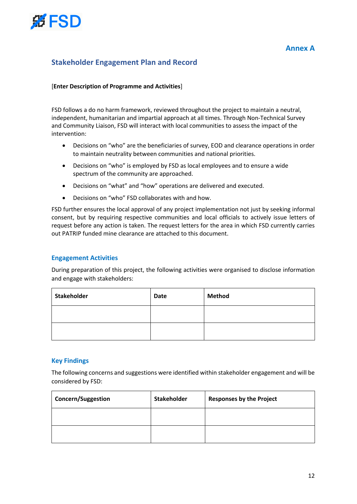

# **Stakeholder Engagement Plan and Record**

### [**Enter Description of Programme and Activities**]

FSD follows a do no harm framework, reviewed throughout the project to maintain a neutral, independent, humanitarian and impartial approach at all times. Through Non-Technical Survey and Community Liaison, FSD will interact with local communities to assess the impact of the intervention:

- Decisions on "who" are the beneficiaries of survey, EOD and clearance operations in order to maintain neutrality between communities and national priorities.
- Decisions on "who" is employed by FSD as local employees and to ensure a wide spectrum of the community are approached.
- Decisions on "what" and "how" operations are delivered and executed.
- Decisions on "who" FSD collaborates with and how.

FSD further ensures the local approval of any project implementation not just by seeking informal consent, but by requiring respective communities and local officials to actively issue letters of request before any action is taken. The request letters for the area in which FSD currently carries out PATRIP funded mine clearance are attached to this document.

### **Engagement Activities**

During preparation of this project, the following activities were organised to disclose information and engage with stakeholders:

| <b>Stakeholder</b> | <b>Date</b> | <b>Method</b> |
|--------------------|-------------|---------------|
|                    |             |               |
|                    |             |               |

### **Key Findings**

The following concerns and suggestions were identified within stakeholder engagement and will be considered by FSD:

| <b>Concern/Suggestion</b> | <b>Stakeholder</b> | <b>Responses by the Project</b> |
|---------------------------|--------------------|---------------------------------|
|                           |                    |                                 |
|                           |                    |                                 |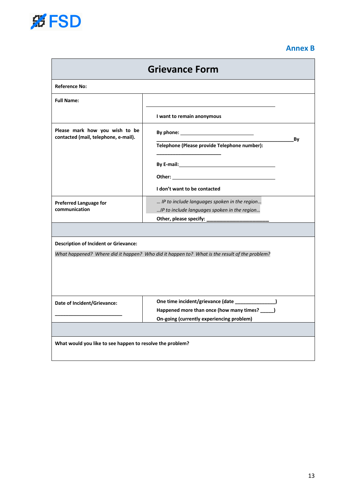

# **Annex B**

| <b>Grievance Form</b>                                                                        |                                                                                                                                                                                                                                |    |  |  |  |  |  |
|----------------------------------------------------------------------------------------------|--------------------------------------------------------------------------------------------------------------------------------------------------------------------------------------------------------------------------------|----|--|--|--|--|--|
| <b>Reference No:</b>                                                                         |                                                                                                                                                                                                                                |    |  |  |  |  |  |
| <b>Full Name:</b>                                                                            |                                                                                                                                                                                                                                |    |  |  |  |  |  |
|                                                                                              | I want to remain anonymous                                                                                                                                                                                                     |    |  |  |  |  |  |
| Please mark how you wish to be<br>contacted (mail, telephone, e-mail).                       |                                                                                                                                                                                                                                |    |  |  |  |  |  |
|                                                                                              | Telephone (Please provide Telephone number):                                                                                                                                                                                   | Βy |  |  |  |  |  |
|                                                                                              |                                                                                                                                                                                                                                |    |  |  |  |  |  |
|                                                                                              | Other: with the contract of the contract of the contract of the contract of the contract of the contract of the contract of the contract of the contract of the contract of the contract of the contract of the contract of th |    |  |  |  |  |  |
|                                                                                              | I don't want to be contacted                                                                                                                                                                                                   |    |  |  |  |  |  |
| <b>Preferred Language for</b><br>communication                                               | IP to include languages spoken in the region<br>IP to include languages spoken in the region                                                                                                                                   |    |  |  |  |  |  |
|                                                                                              |                                                                                                                                                                                                                                |    |  |  |  |  |  |
|                                                                                              |                                                                                                                                                                                                                                |    |  |  |  |  |  |
| <b>Description of Incident or Grievance:</b>                                                 |                                                                                                                                                                                                                                |    |  |  |  |  |  |
| What happened? Where did it happen? Who did it happen to? What is the result of the problem? |                                                                                                                                                                                                                                |    |  |  |  |  |  |
|                                                                                              | One time incident/grievance (date _______________)                                                                                                                                                                             |    |  |  |  |  |  |
| Date of Incident/Grievance:                                                                  | Happened more than once (how many times? _____)                                                                                                                                                                                |    |  |  |  |  |  |
|                                                                                              | On-going (currently experiencing problem)                                                                                                                                                                                      |    |  |  |  |  |  |
| What would you like to see happen to resolve the problem?                                    |                                                                                                                                                                                                                                |    |  |  |  |  |  |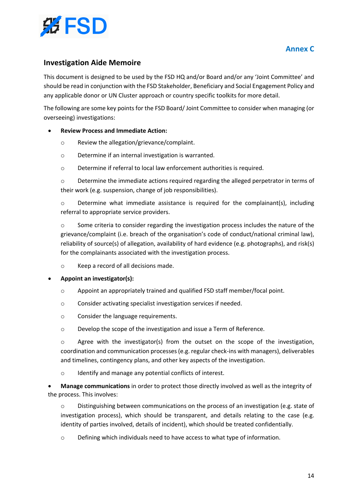

# **Annex C**

# **Investigation Aide Memoire**

This document is designed to be used by the FSD HQ and/or Board and/or any 'Joint Committee' and should be read in conjunction with the FSD Stakeholder, Beneficiary and Social Engagement Policy and any applicable donor or UN Cluster approach or country specific toolkits for more detail.

The following are some key points for the FSD Board/ Joint Committee to consider when managing (or overseeing) investigations:

### • **Review Process and Immediate Action:**

- o Review the allegation/grievance/complaint.
- o Determine if an internal investigation is warranted.
- o Determine if referral to local law enforcement authorities is required.

 $\circ$  Determine the immediate actions required regarding the alleged perpetrator in terms of their work (e.g. suspension, change of job responsibilities).

o Determine what immediate assistance is required for the complainant(s), including referral to appropriate service providers.

 $\circ$  Some criteria to consider regarding the investigation process includes the nature of the grievance/complaint (i.e. breach of the organisation's code of conduct/national criminal law), reliability of source(s) of allegation, availability of hard evidence (e.g. photographs), and risk(s) for the complainants associated with the investigation process.

o Keep a record of all decisions made.

#### • **Appoint an investigator(s):**

- o Appoint an appropriately trained and qualified FSD staff member/focal point.
- o Consider activating specialist investigation services if needed.
- o Consider the language requirements.
- o Develop the scope of the investigation and issue a Term of Reference.

 $\circ$  Agree with the investigator(s) from the outset on the scope of the investigation, coordination and communication processes (e.g. regular check-ins with managers), deliverables and timelines, contingency plans, and other key aspects of the investigation.

o Identify and manage any potential conflicts of interest.

• **Manage communications** in order to protect those directly involved as well as the integrity of the process. This involves:

 $\circ$  Distinguishing between communications on the process of an investigation (e.g. state of investigation process), which should be transparent, and details relating to the case (e.g. identity of parties involved, details of incident), which should be treated confidentially.

o Defining which individuals need to have access to what type of information.